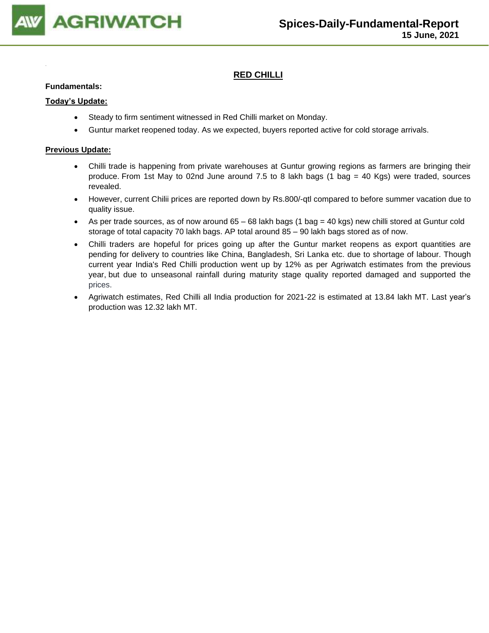

### **RED CHILLI**

#### **Fundamentals:**

#### **Today's Update:**

- Steady to firm sentiment witnessed in Red Chilli market on Monday.
- Guntur market reopened today. As we expected, buyers reported active for cold storage arrivals.

- Chilli trade is happening from private warehouses at Guntur growing regions as farmers are bringing their produce. From 1st May to 02nd June around 7.5 to 8 lakh bags (1 bag = 40 Kgs) were traded, sources revealed.
- However, current Chilii prices are reported down by Rs.800/-qtl compared to before summer vacation due to quality issue.
- As per trade sources, as of now around  $65 68$  lakh bags (1 bag = 40 kgs) new chilli stored at Guntur cold storage of total capacity 70 lakh bags. AP total around 85 – 90 lakh bags stored as of now.
- Chilli traders are hopeful for prices going up after the Guntur market reopens as export quantities are pending for delivery to countries like China, Bangladesh, Sri Lanka etc. due to shortage of labour. Though current year India's Red Chilli production went up by 12% as per Agriwatch estimates from the previous year, but due to unseasonal rainfall during maturity stage quality reported damaged and supported the prices.
- Agriwatch estimates, Red Chilli all India production for 2021-22 is estimated at 13.84 lakh MT. Last year's production was 12.32 lakh MT.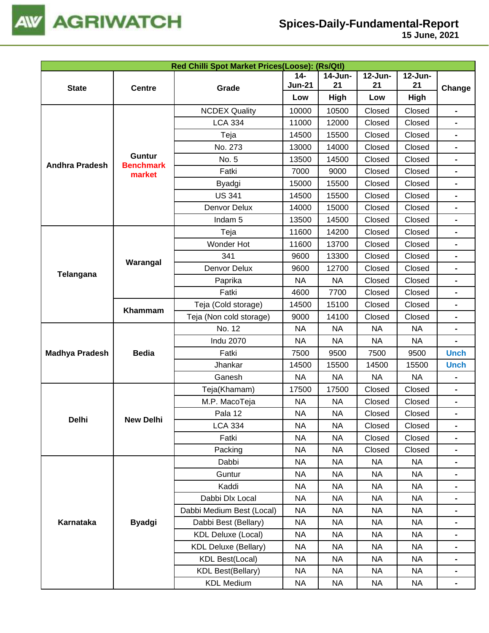

|                       |                                   | Red Chilli Spot Market Prices(Loose): (Rs/Qtl) |               |            |           |           |                                                                                                                                                                                                                                                                                                                                                                                                            |
|-----------------------|-----------------------------------|------------------------------------------------|---------------|------------|-----------|-----------|------------------------------------------------------------------------------------------------------------------------------------------------------------------------------------------------------------------------------------------------------------------------------------------------------------------------------------------------------------------------------------------------------------|
|                       |                                   |                                                | $14 -$        | $14$ -Jun- | 12-Jun-   | 12-Jun-   |                                                                                                                                                                                                                                                                                                                                                                                                            |
| <b>State</b>          | <b>Centre</b>                     | Grade                                          | <b>Jun-21</b> | 21         | 21        | 21        | Change                                                                                                                                                                                                                                                                                                                                                                                                     |
|                       |                                   |                                                | Low           | High       | Low       | High      |                                                                                                                                                                                                                                                                                                                                                                                                            |
|                       |                                   | <b>NCDEX Quality</b>                           | 10000         | 10500      | Closed    | Closed    |                                                                                                                                                                                                                                                                                                                                                                                                            |
|                       |                                   | <b>LCA 334</b>                                 | 11000         | 12000      | Closed    | Closed    |                                                                                                                                                                                                                                                                                                                                                                                                            |
|                       |                                   | Teja                                           | 14500         | 15500      | Closed    | Closed    |                                                                                                                                                                                                                                                                                                                                                                                                            |
|                       |                                   | No. 273                                        | 13000         | 14000      | Closed    | Closed    | $\blacksquare$<br>$\blacksquare$<br>$\blacksquare$<br>$\overline{\phantom{0}}$<br>$\blacksquare$<br>$\blacksquare$<br>$\blacksquare$<br>$\blacksquare$<br>$\blacksquare$<br><b>Unch</b><br><b>Unch</b><br>$\qquad \qquad \blacksquare$<br>$\blacksquare$<br>$\blacksquare$<br>$\blacksquare$<br>$\blacksquare$<br>$\blacksquare$<br>$\blacksquare$<br>$\qquad \qquad \blacksquare$<br>$\blacksquare$<br>Ξ. |
| <b>Andhra Pradesh</b> | <b>Guntur</b><br><b>Benchmark</b> | No. 5                                          | 13500         | 14500      | Closed    | Closed    |                                                                                                                                                                                                                                                                                                                                                                                                            |
|                       | market                            | Fatki                                          | 7000          | 9000       | Closed    | Closed    |                                                                                                                                                                                                                                                                                                                                                                                                            |
|                       |                                   | Byadgi                                         | 15000         | 15500      | Closed    | Closed    |                                                                                                                                                                                                                                                                                                                                                                                                            |
|                       |                                   | <b>US 341</b>                                  | 14500         | 15500      | Closed    | Closed    |                                                                                                                                                                                                                                                                                                                                                                                                            |
|                       |                                   | Denvor Delux                                   | 14000         | 15000      | Closed    | Closed    |                                                                                                                                                                                                                                                                                                                                                                                                            |
|                       |                                   | Indam <sub>5</sub>                             | 13500         | 14500      | Closed    | Closed    |                                                                                                                                                                                                                                                                                                                                                                                                            |
|                       |                                   | Teja                                           | 11600         | 14200      | Closed    | Closed    |                                                                                                                                                                                                                                                                                                                                                                                                            |
|                       |                                   | Wonder Hot                                     | 11600         | 13700      | Closed    | Closed    |                                                                                                                                                                                                                                                                                                                                                                                                            |
| Telangana             | Warangal                          | 341                                            | 9600          | 13300      | Closed    | Closed    |                                                                                                                                                                                                                                                                                                                                                                                                            |
|                       |                                   | Denvor Delux                                   | 9600          | 12700      | Closed    | Closed    |                                                                                                                                                                                                                                                                                                                                                                                                            |
|                       |                                   | Paprika                                        | <b>NA</b>     | <b>NA</b>  | Closed    | Closed    |                                                                                                                                                                                                                                                                                                                                                                                                            |
|                       |                                   | Fatki                                          | 4600          | 7700       | Closed    | Closed    |                                                                                                                                                                                                                                                                                                                                                                                                            |
|                       | Khammam                           | Teja (Cold storage)                            | 14500         | 15100      | Closed    | Closed    |                                                                                                                                                                                                                                                                                                                                                                                                            |
|                       |                                   | Teja (Non cold storage)                        | 9000          | 14100      | Closed    | Closed    |                                                                                                                                                                                                                                                                                                                                                                                                            |
|                       |                                   | No. 12                                         | <b>NA</b>     | <b>NA</b>  | <b>NA</b> | <b>NA</b> |                                                                                                                                                                                                                                                                                                                                                                                                            |
|                       |                                   | <b>Indu 2070</b>                               | <b>NA</b>     | <b>NA</b>  | <b>NA</b> | <b>NA</b> |                                                                                                                                                                                                                                                                                                                                                                                                            |
| <b>Madhya Pradesh</b> | <b>Bedia</b>                      | Fatki                                          | 7500          | 9500       | 7500      | 9500      |                                                                                                                                                                                                                                                                                                                                                                                                            |
|                       |                                   | Jhankar                                        | 14500         | 15500      | 14500     | 15500     | -                                                                                                                                                                                                                                                                                                                                                                                                          |
|                       |                                   | Ganesh                                         | <b>NA</b>     | <b>NA</b>  | <b>NA</b> | <b>NA</b> |                                                                                                                                                                                                                                                                                                                                                                                                            |
|                       |                                   | Teja(Khamam)                                   | 17500         | 17500      | Closed    | Closed    |                                                                                                                                                                                                                                                                                                                                                                                                            |
|                       |                                   | M.P. MacoTeja                                  | <b>NA</b>     | <b>NA</b>  | Closed    | Closed    |                                                                                                                                                                                                                                                                                                                                                                                                            |
|                       |                                   | Pala 12                                        | <b>NA</b>     | <b>NA</b>  | Closed    | Closed    |                                                                                                                                                                                                                                                                                                                                                                                                            |
| Delhi                 | <b>New Delhi</b>                  | <b>LCA 334</b>                                 | <b>NA</b>     | <b>NA</b>  | Closed    | Closed    |                                                                                                                                                                                                                                                                                                                                                                                                            |
|                       |                                   | Fatki                                          | NA            | <b>NA</b>  | Closed    | Closed    |                                                                                                                                                                                                                                                                                                                                                                                                            |
|                       |                                   | Packing                                        | <b>NA</b>     | <b>NA</b>  | Closed    | Closed    |                                                                                                                                                                                                                                                                                                                                                                                                            |
|                       |                                   | Dabbi                                          | <b>NA</b>     | <b>NA</b>  | <b>NA</b> | <b>NA</b> |                                                                                                                                                                                                                                                                                                                                                                                                            |
|                       |                                   | Guntur                                         | <b>NA</b>     | <b>NA</b>  | <b>NA</b> | <b>NA</b> |                                                                                                                                                                                                                                                                                                                                                                                                            |
|                       |                                   | Kaddi                                          | <b>NA</b>     | <b>NA</b>  | NA        | <b>NA</b> |                                                                                                                                                                                                                                                                                                                                                                                                            |
|                       |                                   | Dabbi Dlx Local                                | <b>NA</b>     | <b>NA</b>  | <b>NA</b> | <b>NA</b> |                                                                                                                                                                                                                                                                                                                                                                                                            |
|                       |                                   | Dabbi Medium Best (Local)                      | <b>NA</b>     | NА         | <b>NA</b> | <b>NA</b> |                                                                                                                                                                                                                                                                                                                                                                                                            |
| Karnataka             | <b>Byadgi</b>                     | Dabbi Best (Bellary)                           | NA            | NA         | <b>NA</b> | <b>NA</b> |                                                                                                                                                                                                                                                                                                                                                                                                            |
|                       |                                   | <b>KDL Deluxe (Local)</b>                      | <b>NA</b>     | NA         | NA        | <b>NA</b> |                                                                                                                                                                                                                                                                                                                                                                                                            |
|                       |                                   | <b>KDL Deluxe (Bellary)</b>                    | <b>NA</b>     | NA         | <b>NA</b> | <b>NA</b> |                                                                                                                                                                                                                                                                                                                                                                                                            |
|                       |                                   | <b>KDL Best(Local)</b>                         | NA            | NA         | NA        | <b>NA</b> |                                                                                                                                                                                                                                                                                                                                                                                                            |
|                       |                                   | <b>KDL Best(Bellary)</b>                       | NA            | NA         | NA        | <b>NA</b> |                                                                                                                                                                                                                                                                                                                                                                                                            |
|                       |                                   | <b>KDL Medium</b>                              | NA            | NA         | NA        | <b>NA</b> |                                                                                                                                                                                                                                                                                                                                                                                                            |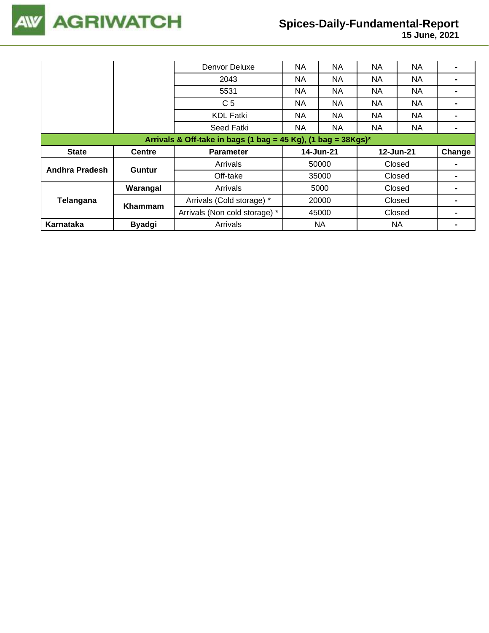

|                                                                  |               | Denvor Deluxe                 | NA        | NA        | NA        | <b>NA</b> |        |  |  |
|------------------------------------------------------------------|---------------|-------------------------------|-----------|-----------|-----------|-----------|--------|--|--|
|                                                                  |               | 2043                          | NA.       | NA        | <b>NA</b> | <b>NA</b> |        |  |  |
|                                                                  |               | 5531                          | NA.       | NA.       | <b>NA</b> | NA.       |        |  |  |
|                                                                  |               | C <sub>5</sub>                | NA        | NA        | <b>NA</b> | <b>NA</b> |        |  |  |
|                                                                  |               | <b>KDL Fatki</b>              | <b>NA</b> | NA.       | <b>NA</b> | <b>NA</b> |        |  |  |
|                                                                  |               | Seed Fatki                    | NA.       | NA.       | <b>NA</b> | NA.       |        |  |  |
| Arrivals & Off-take in bags (1 bag = 45 Kg), (1 bag = $38Kgs$ )* |               |                               |           |           |           |           |        |  |  |
|                                                                  |               |                               |           |           |           |           |        |  |  |
| <b>State</b>                                                     | <b>Centre</b> | <b>Parameter</b>              |           | 14-Jun-21 |           | 12-Jun-21 | Change |  |  |
|                                                                  |               | Arrivals                      |           | 50000     |           | Closed    |        |  |  |
| Andhra Pradesh                                                   | <b>Guntur</b> | Off-take                      |           | 35000     |           | Closed    |        |  |  |
|                                                                  | Warangal      | Arrivals                      |           | 5000      |           | Closed    |        |  |  |
| Telangana                                                        |               | Arrivals (Cold storage) *     |           | 20000     |           | Closed    |        |  |  |
|                                                                  | Khammam       | Arrivals (Non cold storage) * |           | 45000     |           | Closed    |        |  |  |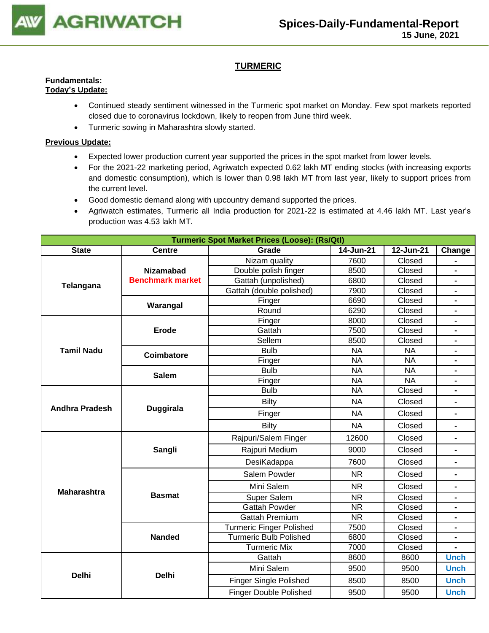

### **TURMERIC**

#### **Fundamentals: Today's Update:**

- Continued steady sentiment witnessed in the Turmeric spot market on Monday. Few spot markets reported closed due to coronavirus lockdown, likely to reopen from June third week.
	- Turmeric sowing in Maharashtra slowly started.

- Expected lower production current year supported the prices in the spot market from lower levels.
- For the 2021-22 marketing period, Agriwatch expected 0.62 lakh MT ending stocks (with increasing exports and domestic consumption), which is lower than 0.98 lakh MT from last year, likely to support prices from the current level.
- Good domestic demand along with upcountry demand supported the prices.
- Agriwatch estimates, Turmeric all India production for 2021-22 is estimated at 4.46 lakh MT. Last year's production was 4.53 lakh MT.

|                       |                         | <b>Turmeric Spot Market Prices (Loose): (Rs/Qtl)</b>             |           |                               |                                                                                                                                                                                           |  |  |  |  |
|-----------------------|-------------------------|------------------------------------------------------------------|-----------|-------------------------------|-------------------------------------------------------------------------------------------------------------------------------------------------------------------------------------------|--|--|--|--|
| <b>State</b>          | <b>Centre</b>           | Grade                                                            | 14-Jun-21 | 12-Jun-21                     | Change                                                                                                                                                                                    |  |  |  |  |
|                       |                         | Nizam quality                                                    | 7600      | Closed                        |                                                                                                                                                                                           |  |  |  |  |
|                       | <b>Nizamabad</b>        | Double polish finger                                             | 8500      | Closed                        | $\blacksquare$                                                                                                                                                                            |  |  |  |  |
| Telangana             | <b>Benchmark market</b> | Gattah (unpolished)                                              | 6800      | Closed                        | $\blacksquare$                                                                                                                                                                            |  |  |  |  |
|                       |                         | Gattah (double polished)                                         | 7900      | Closed                        | $\blacksquare$                                                                                                                                                                            |  |  |  |  |
|                       | Warangal                | Finger                                                           | 6690      | Closed                        | $\blacksquare$                                                                                                                                                                            |  |  |  |  |
|                       |                         | Round                                                            | 6290      | Closed                        | $\blacksquare$                                                                                                                                                                            |  |  |  |  |
|                       |                         | Finger                                                           | 8000      | Closed                        | $\blacksquare$                                                                                                                                                                            |  |  |  |  |
|                       | <b>Erode</b>            | Gattah                                                           | 7500      | Closed                        |                                                                                                                                                                                           |  |  |  |  |
|                       |                         | Sellem                                                           | 8500      | Closed                        |                                                                                                                                                                                           |  |  |  |  |
| <b>Tamil Nadu</b>     | Coimbatore              | <b>Bulb</b>                                                      | <b>NA</b> | <b>NA</b>                     | $\blacksquare$<br>$\blacksquare$<br>$\blacksquare$<br>$\blacksquare$<br>$\blacksquare$<br>$\blacksquare$<br>$\blacksquare$<br>$\blacksquare$<br><b>Unch</b><br><b>Unch</b><br><b>Unch</b> |  |  |  |  |
|                       |                         | Finger                                                           | <b>NA</b> |                               |                                                                                                                                                                                           |  |  |  |  |
|                       | <b>Salem</b>            | <b>Bulb</b>                                                      | <b>NA</b> |                               |                                                                                                                                                                                           |  |  |  |  |
|                       |                         | Finger                                                           | <b>NA</b> |                               |                                                                                                                                                                                           |  |  |  |  |
|                       |                         | <b>Bulb</b>                                                      | <b>NA</b> | <b>NA</b><br>Closed<br>Closed |                                                                                                                                                                                           |  |  |  |  |
| <b>Andhra Pradesh</b> | <b>Duggirala</b>        | <b>Bilty</b>                                                     | <b>NA</b> |                               |                                                                                                                                                                                           |  |  |  |  |
|                       |                         | Finger                                                           | <b>NA</b> | Closed                        |                                                                                                                                                                                           |  |  |  |  |
|                       |                         | <b>Bilty</b>                                                     | <b>NA</b> | Closed                        |                                                                                                                                                                                           |  |  |  |  |
|                       |                         | Rajpuri/Salem Finger                                             | 12600     | Closed                        |                                                                                                                                                                                           |  |  |  |  |
|                       | Sangli                  | Rajpuri Medium                                                   | 9000      | Closed                        |                                                                                                                                                                                           |  |  |  |  |
|                       |                         | DesiKadappa                                                      | 7600      | Closed                        | <b>Unch</b>                                                                                                                                                                               |  |  |  |  |
|                       |                         | Salem Powder                                                     | <b>NR</b> | Closed                        |                                                                                                                                                                                           |  |  |  |  |
| <b>Maharashtra</b>    |                         | Mini Salem                                                       | <b>NR</b> | Closed                        |                                                                                                                                                                                           |  |  |  |  |
|                       | <b>Basmat</b>           | Super Salem                                                      | <b>NR</b> | Closed                        | <b>NA</b><br><b>NA</b>                                                                                                                                                                    |  |  |  |  |
|                       |                         | <b>Gattah Powder</b>                                             | <b>NR</b> | Closed                        |                                                                                                                                                                                           |  |  |  |  |
|                       |                         | <b>Gattah Premium</b>                                            | <b>NR</b> | Closed                        |                                                                                                                                                                                           |  |  |  |  |
|                       |                         | <b>Turmeric Finger Polished</b>                                  | 7500      | Closed                        |                                                                                                                                                                                           |  |  |  |  |
|                       |                         | <b>Turmeric Bulb Polished</b><br>Closed<br><b>Nanded</b><br>6800 |           |                               |                                                                                                                                                                                           |  |  |  |  |
|                       |                         | <b>Turmeric Mix</b>                                              | 7000      | Closed                        |                                                                                                                                                                                           |  |  |  |  |
|                       |                         | Gattah                                                           | 8600      | 8600                          |                                                                                                                                                                                           |  |  |  |  |
| <b>Delhi</b>          | <b>Delhi</b>            | Mini Salem                                                       | 9500      | 9500                          |                                                                                                                                                                                           |  |  |  |  |
|                       |                         | <b>Finger Single Polished</b>                                    | 8500      | 8500                          |                                                                                                                                                                                           |  |  |  |  |
|                       |                         | <b>Finger Double Polished</b>                                    | 9500      | 9500                          |                                                                                                                                                                                           |  |  |  |  |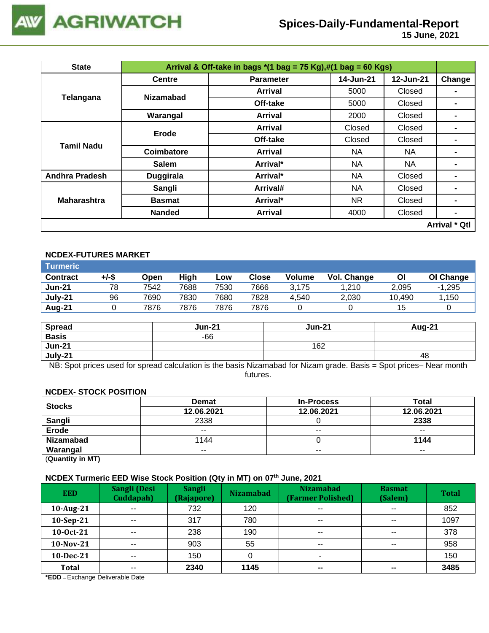

| <b>State</b>          |                  | Arrival & Off-take in bags $*(1 \text{ bag} = 75 \text{ Kg}),\#(1 \text{ bag} = 60 \text{ Kg})$ |           |           |                      |  |  |  |  |
|-----------------------|------------------|-------------------------------------------------------------------------------------------------|-----------|-----------|----------------------|--|--|--|--|
|                       | <b>Centre</b>    | <b>Parameter</b>                                                                                | 14-Jun-21 | 12-Jun-21 | Change               |  |  |  |  |
|                       | <b>Nizamabad</b> | <b>Arrival</b>                                                                                  | 5000      | Closed    | $\blacksquare$       |  |  |  |  |
| Telangana             |                  | Off-take                                                                                        | 5000      | Closed    | $\blacksquare$       |  |  |  |  |
|                       | Warangal         | <b>Arrival</b>                                                                                  | 2000      | Closed    |                      |  |  |  |  |
| Tamil Nadu            | Erode            | <b>Arrival</b>                                                                                  | Closed    | Closed    | $\blacksquare$       |  |  |  |  |
|                       |                  | Off-take                                                                                        | Closed    | Closed    |                      |  |  |  |  |
|                       | Coimbatore       | <b>Arrival</b>                                                                                  | NA.       | NA.       |                      |  |  |  |  |
|                       | <b>Salem</b>     | Arrival*                                                                                        | NA.       | NA        | $\blacksquare$       |  |  |  |  |
| <b>Andhra Pradesh</b> | <b>Duggirala</b> | Arrival*                                                                                        | NA        | Closed    | $\blacksquare$       |  |  |  |  |
|                       | Sangli           | Arrival#                                                                                        | NA.       | Closed    |                      |  |  |  |  |
| <b>Maharashtra</b>    | <b>Basmat</b>    | Arrival*                                                                                        | NR.       | Closed    |                      |  |  |  |  |
|                       | <b>Nanded</b>    | <b>Arrival</b>                                                                                  | 4000      | Closed    | $\blacksquare$       |  |  |  |  |
|                       |                  |                                                                                                 |           |           | <b>Arrival * Qtl</b> |  |  |  |  |

### **NCDEX-FUTURES MARKET**

| <b>Turmeric</b> |       |      |      |      |       |               |             |        |           |
|-----------------|-------|------|------|------|-------|---------------|-------------|--------|-----------|
| <b>Contract</b> | +/-\$ | Open | High | Low  | Close | <b>Volume</b> | Vol. Change | ΟI     | OI Change |
| <b>Jun-21</b>   | 78    | 7542 | 7688 | 7530 | 7666  | 3.175         | 1.210       | 2,095  | $-1,295$  |
| July-21         | 96    | 7690 | 7830 | 7680 | 7828  | 4.540         | 2,030       | 10.490 | 1,150     |
| Aug-21          |       | 7876 | 7876 | 7876 | 7876  |               |             | 15     |           |

| <b>Spread</b> | <b>Jun-21</b> | <b>Jun-21</b> | Aug-21 |
|---------------|---------------|---------------|--------|
| <b>Basis</b>  | $-66$         |               |        |
| <b>Jun-21</b> |               | 162           |        |
| July-21       |               |               | 48     |

NB: Spot prices used for spread calculation is the basis Nizamabad for Nizam grade. Basis = Spot prices– Near month futures.

#### **NCDEX- STOCK POSITION**

| <b>Stocks</b>    | <b>Demat</b> | <b>In-Process</b> | <b>Total</b> |
|------------------|--------------|-------------------|--------------|
|                  | 12.06.2021   | 12.06.2021        | 12.06.2021   |
| <b>Sangli</b>    | 2338         |                   | 2338         |
| <b>Erode</b>     | $- -$        | $- -$             | $- -$        |
| <b>Nizamabad</b> | 1144         |                   | 1144         |
| Warangal         | $- -$        | $- -$             | $- -$        |
|                  |              |                   |              |

(**Quantity in MT)**

### **NCDEX Turmeric EED Wise Stock Position (Qty in MT) on 07th June, 2021**

| <b>EED</b>   | Sangli (Desi<br>Cuddapah) | <b>Sangli</b><br>(Rajapore) | <b>Nizamabad</b> | <b>Nizamabad</b><br>(Farmer Polished) | <b>Basmat</b><br>(Salem) | <b>Total</b> |
|--------------|---------------------------|-----------------------------|------------------|---------------------------------------|--------------------------|--------------|
| $10$ -Aug-21 | $\sim$ $\sim$             | 732                         | 120              | $\sim$ $\sim$                         | $\sim$ $\sim$            | 852          |
| 10-Sep-21    | $- -$                     | 317                         | 780              | $\sim$ $\sim$                         | $\sim$ $\sim$            | 1097         |
| 10-0ct-21    | $- -$                     | 238                         | 190              | $\sim$ $\sim$                         | $\sim$ $\sim$            | 378          |
| $10-Nov-21$  | $- -$                     | 903                         | 55               | $- -$                                 | $\sim$ $\sim$            | 958          |
| 10-Dec-21    | $- -$                     | 150                         |                  |                                       |                          | 150          |
| <b>Total</b> | $- -$                     | 2340                        | 1145             | $\sim$                                | $- -$                    | 3485         |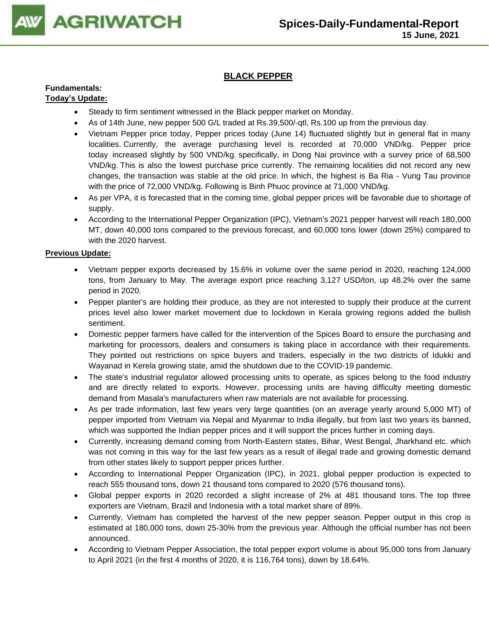

### **BLACK PEPPER**

#### **Fundamentals: Today's Update:**

### • Steady to firm sentiment witnessed in the Black pepper market on Monday.

- As of 14th June, new pepper 500 G/L traded at Rs.39,500/-qtl, Rs.100 up from the previous day.
- Vietnam Pepper price today, Pepper prices today (June 14) fluctuated slightly but in general flat in many localities. Currently, the average purchasing level is recorded at 70,000 VND/kg. [Pepper price](https://translate.google.com/website?sl=vi&tl=en&ajax=1&se=1&u=https://vietnambiz.vn/gia-tieu-hom-nay.html)  [today](https://translate.google.com/website?sl=vi&tl=en&ajax=1&se=1&u=https://vietnambiz.vn/gia-tieu-hom-nay.html) increased slightly by 500 VND/kg. specifically, in Dong Nai province with a survey price of 68,500 VND/kg. This is also the lowest purchase price currently. The remaining localities did not record any new changes, the transaction was stable at the old price. In which, the highest is Ba Ria - Vung Tau province with the price of 72,000 VND/kg. Following is Binh Phuoc province at 71,000 VND/kg.
- As per VPA, it is forecasted that in the coming time, global pepper prices will be favorable due to shortage of supply.
- According to the International Pepper Organization (IPC), Vietnam's 2021 pepper harvest will reach 180,000 MT, down 40,000 tons compared to the previous forecast, and 60,000 tons lower (down 25%) compared to with the 2020 harvest.

- Vietnam pepper exports decreased by 15.6% in volume over the same period in 2020, reaching 124,000 tons, from January to May. The average export price reaching 3,127 USD/ton, up 48.2% over the same period in 2020.
- Pepper planter's are holding their produce, as they are not interested to supply their produce at the current prices level also lower market movement due to lockdown in Kerala growing regions added the bullish sentiment.
- Domestic pepper farmers have called for the intervention of the Spices Board to ensure the purchasing and marketing for processors, dealers and consumers is taking place in accordance with their requirements. They pointed out restrictions on spice buyers and traders, especially in the two districts of Idukki and Wayanad in Kerela growing state, amid the shutdown due to the COVID-19 pandemic.
- The state's industrial regulator allowed processing units to operate, as spices belong to the food industry and are directly related to exports. However, processing units are having difficulty meeting domestic demand from Masala's manufacturers when raw materials are not available for processing.
- As per trade information, last few years very large quantities (on an average yearly around 5,000 MT) of pepper imported from Vietnam via Nepal and Myanmar to India illegally, but from last two years its banned, which was supported the Indian pepper prices and it will support the prices further in coming days.
- Currently, increasing demand coming from North-Eastern states, Bihar, West Bengal, Jharkhand etc. which was not coming in this way for the last few years as a result of illegal trade and growing domestic demand from other states likely to support pepper prices further.
- According to International Pepper Organization (IPC), in 2021, global pepper production is expected to reach 555 thousand tons, down 21 thousand tons compared to 2020 (576 thousand tons).
- Global pepper exports in 2020 recorded a slight increase of 2% at 481 thousand tons. The top three exporters are Vietnam, Brazil and Indonesia with a total market share of 89%.
- Currently, Vietnam has completed the harvest of the new pepper season. Pepper output in this crop is estimated at 180,000 tons, down 25-30% from the previous year. Although the official number has not been announced.
- According to Vietnam Pepper Association, the total pepper export volume is about 95,000 tons from January to April 2021 (in the first 4 months of 2020, it is 116,764 tons), down by 18.64%.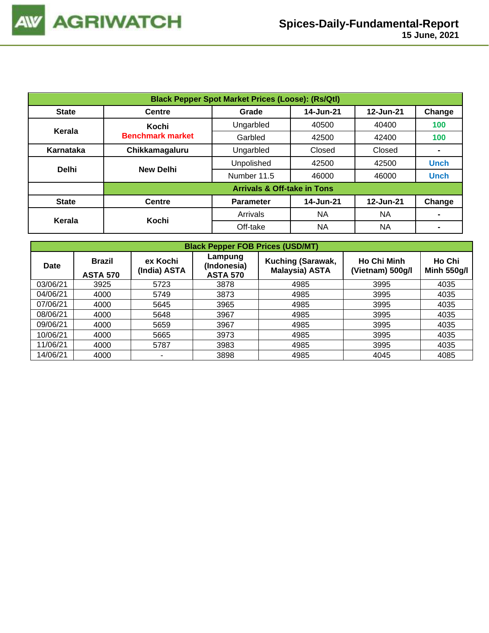| <b>Black Pepper Spot Market Prices (Loose): (Rs/Qtl)</b> |                         |                                        |           |           |                |  |  |  |  |
|----------------------------------------------------------|-------------------------|----------------------------------------|-----------|-----------|----------------|--|--|--|--|
| <b>State</b>                                             | <b>Centre</b>           | 14-Jun-21<br>12-Jun-21<br>Grade        |           |           |                |  |  |  |  |
| Kerala                                                   | Kochi                   | Ungarbled                              | 40500     | 40400     | 100            |  |  |  |  |
|                                                          | <b>Benchmark market</b> | Garbled                                | 42500     | 42400     | 100            |  |  |  |  |
| Karnataka                                                | Chikkamagaluru          | Ungarbled                              | Closed    | Closed    | $\blacksquare$ |  |  |  |  |
| <b>Delhi</b>                                             | <b>New Delhi</b>        | Unpolished                             | 42500     | 42500     | <b>Unch</b>    |  |  |  |  |
|                                                          |                         | Number 11.5                            | 46000     | 46000     | <b>Unch</b>    |  |  |  |  |
|                                                          |                         | <b>Arrivals &amp; Off-take in Tons</b> |           |           |                |  |  |  |  |
| <b>State</b>                                             | <b>Centre</b>           | <b>Parameter</b>                       | 14-Jun-21 | 12-Jun-21 | Change         |  |  |  |  |
|                                                          | Kochi                   | Arrivals                               | <b>NA</b> | NA        | $\blacksquare$ |  |  |  |  |
| Kerala                                                   |                         | Off-take                               | NA        | NA        | Change<br>-    |  |  |  |  |

|          | <b>Black Pepper FOB Prices (USD/MT)</b> |                                                                       |      |                                            |                                        |                              |  |  |  |  |  |
|----------|-----------------------------------------|-----------------------------------------------------------------------|------|--------------------------------------------|----------------------------------------|------------------------------|--|--|--|--|--|
| Date     | <b>Brazil</b><br><b>ASTA 570</b>        | Lampung<br>ex Kochi<br>(Indonesia)<br>(India) ASTA<br><b>ASTA 570</b> |      | Kuching (Sarawak,<br><b>Malaysia) ASTA</b> | <b>Ho Chi Minh</b><br>(Vietnam) 500g/l | Ho Chi<br><b>Minh 550g/l</b> |  |  |  |  |  |
| 03/06/21 | 3925                                    | 5723                                                                  | 3878 | 4985                                       | 3995                                   | 4035                         |  |  |  |  |  |
| 04/06/21 | 4000                                    | 5749                                                                  | 3873 | 4985                                       | 3995                                   | 4035                         |  |  |  |  |  |
| 07/06/21 | 4000                                    | 5645                                                                  | 3965 | 4985                                       | 3995                                   | 4035                         |  |  |  |  |  |
| 08/06/21 | 4000                                    | 5648                                                                  | 3967 | 4985                                       | 3995                                   | 4035                         |  |  |  |  |  |
| 09/06/21 | 4000                                    | 5659                                                                  | 3967 | 4985                                       | 3995                                   | 4035                         |  |  |  |  |  |
| 10/06/21 | 4000                                    | 5665                                                                  | 3973 | 4985                                       | 3995                                   | 4035                         |  |  |  |  |  |
| 11/06/21 | 4000                                    | 5787                                                                  | 3983 | 4985                                       | 3995                                   | 4035                         |  |  |  |  |  |
| 14/06/21 | 4000                                    | ۰                                                                     | 3898 | 4985                                       | 4045                                   | 4085                         |  |  |  |  |  |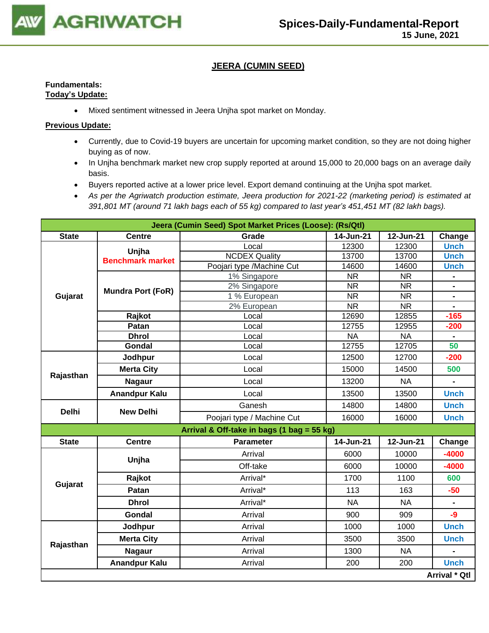

### **JEERA (CUMIN SEED)**

### **Fundamentals: Today's Update:**

• Mixed sentiment witnessed in Jeera Unjha spot market on Monday.

- Currently, due to Covid-19 buyers are uncertain for upcoming market condition, so they are not doing higher buying as of now.
- In Unjha benchmark market new crop supply reported at around 15,000 to 20,000 bags on an average daily basis.
- Buyers reported active at a lower price level. Export demand continuing at the Unjha spot market.
- *As per the Agriwatch production estimate, Jeera production for 2021-22 (marketing period) is estimated at 391,801 MT (around 71 lakh bags each of 55 kg) compared to last year's 451,451 MT (82 lakh bags).*

|              |                          | Jeera (Cumin Seed) Spot Market Prices (Loose): (Rs/Qtl) |           |           |                                                                                                                                                                                     |  |  |  |  |
|--------------|--------------------------|---------------------------------------------------------|-----------|-----------|-------------------------------------------------------------------------------------------------------------------------------------------------------------------------------------|--|--|--|--|
| <b>State</b> | <b>Centre</b>            | Grade                                                   | 14-Jun-21 | 12-Jun-21 | Change                                                                                                                                                                              |  |  |  |  |
|              | Unjha                    | Local                                                   | 12300     | 12300     | <b>Unch</b>                                                                                                                                                                         |  |  |  |  |
|              | <b>Benchmark market</b>  | <b>NCDEX Quality</b>                                    | 13700     | 13700     | <b>Unch</b>                                                                                                                                                                         |  |  |  |  |
|              |                          | Poojari type / Machine Cut                              | 14600     | 14600     | <b>Unch</b>                                                                                                                                                                         |  |  |  |  |
|              |                          | 1% Singapore                                            | <b>NR</b> | <b>NR</b> |                                                                                                                                                                                     |  |  |  |  |
|              | <b>Mundra Port (FoR)</b> | 2% Singapore                                            | <b>NR</b> | <b>NR</b> | $\frac{1}{2}$                                                                                                                                                                       |  |  |  |  |
| Gujarat      |                          | 1 % European                                            | <b>NR</b> | <b>NR</b> | $\blacksquare$                                                                                                                                                                      |  |  |  |  |
|              |                          | 2% European                                             | <b>NR</b> | <b>NR</b> |                                                                                                                                                                                     |  |  |  |  |
|              | Rajkot                   | Local                                                   | 12690     | 12855     |                                                                                                                                                                                     |  |  |  |  |
|              | Patan                    | Local                                                   | 12755     | 12955     |                                                                                                                                                                                     |  |  |  |  |
|              | <b>Dhrol</b>             | Local                                                   | <b>NA</b> | <b>NA</b> |                                                                                                                                                                                     |  |  |  |  |
|              | Gondal                   | Local                                                   | 12755     | 12705     |                                                                                                                                                                                     |  |  |  |  |
| Rajasthan    | Jodhpur                  | Local                                                   | 12500     | 12700     |                                                                                                                                                                                     |  |  |  |  |
|              | <b>Merta City</b>        | Local                                                   | 15000     | 14500     |                                                                                                                                                                                     |  |  |  |  |
|              | <b>Nagaur</b>            | Local                                                   | 13200     | <b>NA</b> | $\blacksquare$                                                                                                                                                                      |  |  |  |  |
|              | <b>Anandpur Kalu</b>     | Local                                                   | 13500     | 13500     | <b>Unch</b>                                                                                                                                                                         |  |  |  |  |
| <b>Delhi</b> | <b>New Delhi</b>         | Ganesh                                                  | 14800     | 14800     | <b>Unch</b>                                                                                                                                                                         |  |  |  |  |
|              |                          | Poojari type / Machine Cut                              | 16000     | 16000     | <b>Unch</b>                                                                                                                                                                         |  |  |  |  |
|              |                          | Arrival & Off-take in bags (1 bag = 55 kg)              |           |           |                                                                                                                                                                                     |  |  |  |  |
| <b>State</b> | <b>Centre</b>            | <b>Parameter</b>                                        | 14-Jun-21 | 12-Jun-21 | Change                                                                                                                                                                              |  |  |  |  |
|              |                          | Arrival                                                 | 6000      | 10000     | $-4000$                                                                                                                                                                             |  |  |  |  |
|              | Unjha                    | Off-take                                                | 6000      | 10000     | $-165$<br>$-200$<br>50<br>$-200$<br>500<br>$-4000$<br>600<br>$-50$<br>$\blacksquare$<br>$-9$<br><b>Unch</b><br><b>Unch</b><br>$\blacksquare$<br><b>Unch</b><br><b>Arrival * Qtl</b> |  |  |  |  |
|              | Rajkot                   | Arrival*                                                | 1700      | 1100      |                                                                                                                                                                                     |  |  |  |  |
| Gujarat      | Patan                    | Arrival*                                                | 113       | 163       |                                                                                                                                                                                     |  |  |  |  |
|              | <b>Dhrol</b>             | Arrival*                                                | <b>NA</b> | <b>NA</b> |                                                                                                                                                                                     |  |  |  |  |
|              | Gondal                   | Arrival                                                 | 900       | 909       |                                                                                                                                                                                     |  |  |  |  |
|              | Jodhpur                  | Arrival                                                 | 1000      | 1000      |                                                                                                                                                                                     |  |  |  |  |
|              | <b>Merta City</b>        | Arrival                                                 | 3500      | 3500      |                                                                                                                                                                                     |  |  |  |  |
| Rajasthan    | <b>Nagaur</b>            | Arrival                                                 | 1300      | <b>NA</b> |                                                                                                                                                                                     |  |  |  |  |
|              | <b>Anandpur Kalu</b>     | Arrival                                                 | 200       | 200       |                                                                                                                                                                                     |  |  |  |  |
|              |                          |                                                         |           |           |                                                                                                                                                                                     |  |  |  |  |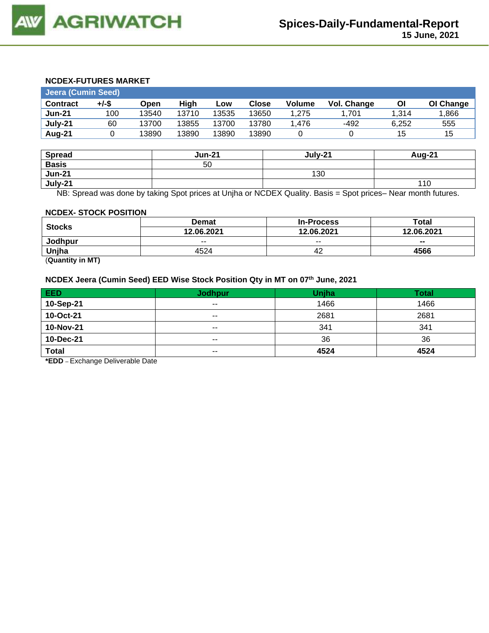### **NCDEX-FUTURES MARKET**

| <b>Jeera (Cumin Seed)</b> |       |       |       |       |              |        |             |       |           |
|---------------------------|-------|-------|-------|-------|--------------|--------|-------------|-------|-----------|
| <b>Contract</b>           | +/-\$ | Open  | High  | Low   | <b>Close</b> | Volume | Vol. Change | ΟI    | OI Change |
| <b>Jun-21</b>             | 100   | 13540 | 13710 | 13535 | 13650        | 1.275  | .701،       | 1.314 | 1,866     |
| July-21                   | 60    | 13700 | 13855 | 13700 | 13780        | .476   | -492        | 6.252 | 555       |
| Aug-21                    |       | 13890 | 13890 | 13890 | 13890        |        |             | 15    | 15        |

| <b>Spread</b> | <b>Jun-21</b> | July-21 | <b>Aug-21</b> |
|---------------|---------------|---------|---------------|
| <b>Basis</b>  | 50            |         |               |
| <b>Jun-21</b> |               | 130     |               |
| July-21       |               |         | 110           |

NB: Spread was done by taking Spot prices at Unjha or NCDEX Quality. Basis = Spot prices– Near month futures.

#### **NCDEX- STOCK POSITION**

|               | <b>Demat</b> | <b>In-Process</b> | Total      |
|---------------|--------------|-------------------|------------|
| <b>Stocks</b> | 12.06.2021   | 12.06.2021        | 12.06.2021 |
| Jodhpur       | $- -$        | $- -$             | $\sim$     |
| Unjha         | 4524         | 42                | 4566       |

(**Quantity in MT)**

**NCDEX Jeera (Cumin Seed) EED Wise Stock Position Qty in MT on 07th June, 2021**

| EED          | <b>Jodhpur</b> | Unjha | <b>Total</b> |
|--------------|----------------|-------|--------------|
| 10-Sep-21    | $\sim$ $\sim$  | 1466  | 1466         |
| 10-Oct-21    | $- -$          | 2681  | 2681         |
| 10-Nov-21    | $\sim$ $\sim$  | 341   | 341          |
| 10-Dec-21    | $- -$          | 36    | 36           |
| <b>Total</b> | $\sim$ $\sim$  | 4524  | 4524         |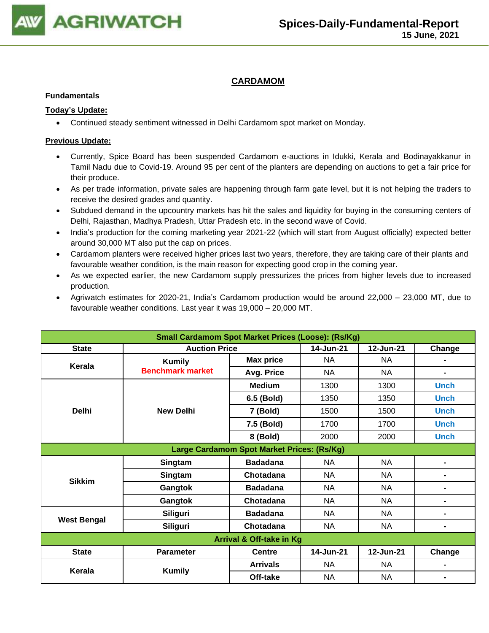

### **CARDAMOM**

#### **Fundamentals**

### **Today's Update:**

• Continued steady sentiment witnessed in Delhi Cardamom spot market on Monday.

- Currently, Spice Board has been suspended Cardamom e-auctions in Idukki, Kerala and Bodinayakkanur in Tamil Nadu due to Covid-19. Around 95 per cent of the planters are depending on auctions to get a fair price for their produce.
- As per trade information, private sales are happening through farm gate level, but it is not helping the traders to receive the desired grades and quantity.
- Subdued demand in the upcountry markets has hit the sales and liquidity for buying in the consuming centers of Delhi, Rajasthan, Madhya Pradesh, Uttar Pradesh etc. in the second wave of Covid.
- India's production for the coming marketing year 2021-22 (which will start from August officially) expected better around 30,000 MT also put the cap on prices.
- Cardamom planters were received higher prices last two years, therefore, they are taking care of their plants and favourable weather condition, is the main reason for expecting good crop in the coming year.
- As we expected earlier, the new Cardamom supply pressurizes the prices from higher levels due to increased production.
- Agriwatch estimates for 2020-21, India's Cardamom production would be around 22,000 23,000 MT, due to favourable weather conditions. Last year it was 19,000 – 20,000 MT.

| <b>Small Cardamom Spot Market Prices (Loose): (Rs/Kg)</b> |                                            |                  |           |           |                |  |  |  |
|-----------------------------------------------------------|--------------------------------------------|------------------|-----------|-----------|----------------|--|--|--|
| <b>State</b>                                              | <b>Auction Price</b>                       |                  | 14-Jun-21 | 12-Jun-21 | Change         |  |  |  |
| Kerala                                                    | <b>Kumily</b>                              | <b>Max price</b> | <b>NA</b> | <b>NA</b> |                |  |  |  |
|                                                           | <b>Benchmark market</b>                    | Avg. Price       | <b>NA</b> | <b>NA</b> | -              |  |  |  |
|                                                           |                                            | <b>Medium</b>    | 1300      | 1300      | <b>Unch</b>    |  |  |  |
|                                                           |                                            | 6.5 (Bold)       | 1350      | 1350      | <b>Unch</b>    |  |  |  |
| <b>Delhi</b>                                              | <b>New Delhi</b>                           | 7 (Bold)         | 1500      | 1500      | <b>Unch</b>    |  |  |  |
|                                                           |                                            | 7.5 (Bold)       | 1700      | 1700      | <b>Unch</b>    |  |  |  |
|                                                           |                                            | 8 (Bold)         | 2000      | 2000      | <b>Unch</b>    |  |  |  |
|                                                           | Large Cardamom Spot Market Prices: (Rs/Kg) |                  |           |           |                |  |  |  |
|                                                           | Singtam                                    | <b>Badadana</b>  | NA        | <b>NA</b> | $\blacksquare$ |  |  |  |
| <b>Sikkim</b>                                             | Singtam                                    | Chotadana        | NA        | NA        | ۰              |  |  |  |
|                                                           | Gangtok                                    | <b>Badadana</b>  | NA        | NA        | ۰              |  |  |  |
|                                                           | Gangtok                                    | Chotadana        | NA.       | NA        | ۰              |  |  |  |
|                                                           | <b>Siliguri</b>                            | <b>Badadana</b>  | <b>NA</b> | <b>NA</b> | $\blacksquare$ |  |  |  |
| <b>West Bengal</b>                                        | <b>Siliguri</b>                            | Chotadana        | NA        | <b>NA</b> | -              |  |  |  |
| Arrival & Off-take in Kg                                  |                                            |                  |           |           |                |  |  |  |
| <b>State</b>                                              | <b>Parameter</b>                           | <b>Centre</b>    | 14-Jun-21 | 12-Jun-21 | Change         |  |  |  |
| Kerala                                                    | <b>Kumily</b>                              | <b>Arrivals</b>  | <b>NA</b> | <b>NA</b> | $\blacksquare$ |  |  |  |
|                                                           |                                            | Off-take         | <b>NA</b> | <b>NA</b> | $\blacksquare$ |  |  |  |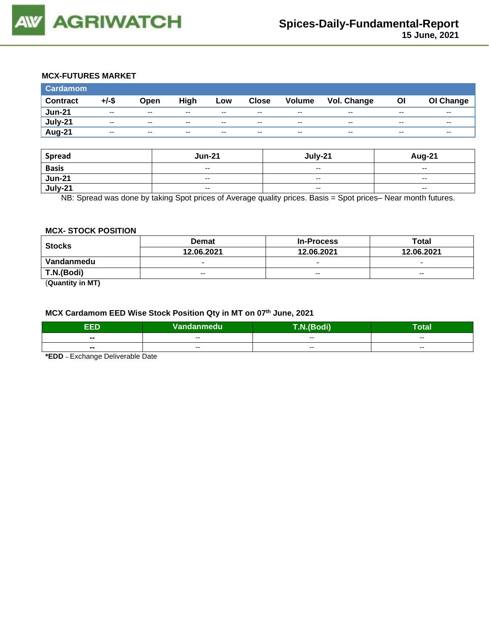

### **MCX-FUTURES MARKET**

| <b>Cardamom</b> |          |       |       |       |              |        |                    |       |           |
|-----------------|----------|-------|-------|-------|--------------|--------|--------------------|-------|-----------|
| <b>Contract</b> | $+/-$ \$ | Open  | High  | Low   | <b>Close</b> | Volume | <b>Vol. Change</b> | OI    | OI Change |
| <b>Jun-21</b>   | $- -$    | $- -$ | $- -$ | $- -$ | $- -$        | $- -$  | --                 | $- -$ | $- -$     |
| July-21         | $- -$    | $-$   | $- -$ | $- -$ | $- -$        | $- -$  | --                 | --    | $- -$     |
| Aug-21          | $- -$    | $- -$ | $- -$ | $- -$ | $- -$        | $- -$  | $- -$              | $- -$ | $- -$     |
|                 |          |       |       |       |              |        |                    |       |           |

| <b>Spread</b> | <b>Jun-21</b>            | July-21                  | Aug-21                   |
|---------------|--------------------------|--------------------------|--------------------------|
| <b>Basis</b>  | $\overline{\phantom{a}}$ | $\overline{\phantom{a}}$ | $\overline{\phantom{a}}$ |
| <b>Jun-21</b> | $\overline{\phantom{a}}$ | $- -$                    | $-$                      |
| July-21       | $\overline{\phantom{a}}$ | $\overline{\phantom{a}}$ | $\sim$                   |

NB: Spread was done by taking Spot prices of Average quality prices. Basis = Spot prices– Near month futures.

#### **MCX- STOCK POSITION**

| <b>Stocks</b> | <b>Demat</b>             | <b>In-Process</b>        | Total                    |  |
|---------------|--------------------------|--------------------------|--------------------------|--|
|               | 12.06.2021               | 12.06.2021               | 12.06.2021               |  |
| Vandanmedu    | $\overline{\phantom{0}}$ | $\overline{\phantom{0}}$ | $\overline{\phantom{0}}$ |  |
| T.N.(Bodi)    | $- -$                    | $- -$                    | $- -$                    |  |

(**Quantity in MT)**

### **MCX Cardamom EED Wise Stock Position Qty in MT on 07th June, 2021**

| ccn                      | Vandanmedu <sup>1</sup> | <b><i>PERS</i></b><br>$\sim$<br>ичн | Гоtal |
|--------------------------|-------------------------|-------------------------------------|-------|
| --                       | --                      | $- -$                               | $- -$ |
| $\overline{\phantom{a}}$ | $- -$                   | $- -$                               | $- -$ |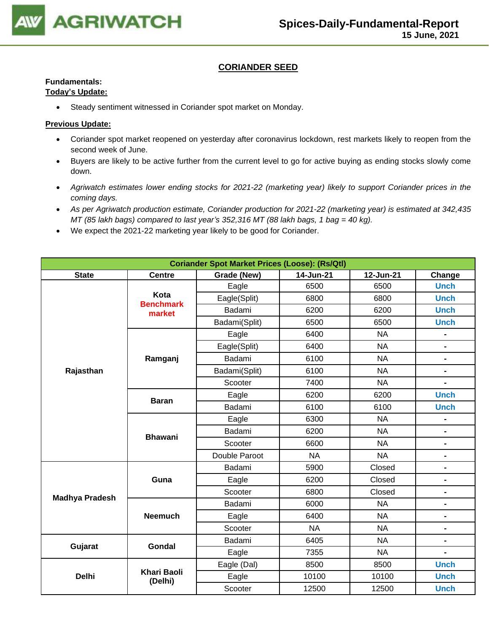

### **CORIANDER SEED**

#### **Fundamentals: Today's Update:**

• Steady sentiment witnessed in Coriander spot market on Monday.

- Coriander spot market reopened on yesterday after coronavirus lockdown, rest markets likely to reopen from the second week of June.
- Buyers are likely to be active further from the current level to go for active buying as ending stocks slowly come down.
- *Agriwatch estimates lower ending stocks for 2021-22 (marketing year) likely to support Coriander prices in the coming days.*
- *As per Agriwatch production estimate, Coriander production for 2021-22 (marketing year) is estimated at 342,435 MT (85 lakh bags) compared to last year's 352,316 MT (88 lakh bags, 1 bag = 40 kg).*
- We expect the 2021-22 marketing year likely to be good for Coriander.

| <b>Coriander Spot Market Prices (Loose): (Rs/Qtl)</b> |                               |               |           |           |                              |  |  |
|-------------------------------------------------------|-------------------------------|---------------|-----------|-----------|------------------------------|--|--|
| <b>State</b>                                          | <b>Centre</b>                 | Grade (New)   | 14-Jun-21 | 12-Jun-21 | Change                       |  |  |
|                                                       |                               | Eagle         | 6500      | 6500      | <b>Unch</b>                  |  |  |
|                                                       | Kota<br><b>Benchmark</b>      | Eagle(Split)  | 6800      | 6800      | <b>Unch</b>                  |  |  |
|                                                       | market                        | Badami        | 6200      | 6200      | <b>Unch</b>                  |  |  |
|                                                       |                               | Badami(Split) | 6500      | 6500      | <b>Unch</b>                  |  |  |
|                                                       |                               | Eagle         | 6400      | <b>NA</b> | $\blacksquare$               |  |  |
|                                                       |                               | Eagle(Split)  | 6400      | <b>NA</b> | $\blacksquare$               |  |  |
|                                                       | Ramganj                       | Badami        | 6100      | <b>NA</b> | $\blacksquare$               |  |  |
| Rajasthan                                             |                               | Badami(Split) | 6100      | <b>NA</b> | $\blacksquare$               |  |  |
|                                                       |                               | Scooter       | 7400      | <b>NA</b> |                              |  |  |
|                                                       | <b>Baran</b>                  | Eagle         | 6200      | 6200      | <b>Unch</b>                  |  |  |
|                                                       |                               | Badami        | 6100      | 6100      | <b>Unch</b>                  |  |  |
|                                                       |                               | Eagle         | 6300      | <b>NA</b> | $\blacksquare$               |  |  |
|                                                       | <b>Bhawani</b>                | Badami        | 6200      | <b>NA</b> | $\blacksquare$               |  |  |
|                                                       |                               | Scooter       | 6600      | <b>NA</b> | -                            |  |  |
|                                                       |                               | Double Paroot | <b>NA</b> | <b>NA</b> | $\blacksquare$               |  |  |
|                                                       |                               | Badami        | 5900      | Closed    | $\blacksquare$               |  |  |
|                                                       | Guna                          | Eagle         | 6200      | Closed    | -                            |  |  |
|                                                       |                               | Scooter       | 6800      | Closed    | $\blacksquare$               |  |  |
| <b>Madhya Pradesh</b>                                 |                               | Badami        | 6000      | <b>NA</b> | $\blacksquare$               |  |  |
|                                                       | <b>Neemuch</b>                | Eagle         | 6400      | <b>NA</b> | $\blacksquare$               |  |  |
|                                                       |                               | Scooter       | <b>NA</b> | <b>NA</b> | $\qquad \qquad \blacksquare$ |  |  |
|                                                       | Gondal                        | Badami        | 6405      | <b>NA</b> | $\blacksquare$               |  |  |
| Gujarat                                               |                               | Eagle         | 7355      | <b>NA</b> |                              |  |  |
|                                                       |                               | Eagle (Dal)   | 8500      | 8500      | <b>Unch</b>                  |  |  |
| <b>Delhi</b>                                          | <b>Khari Baoli</b><br>(Delhi) | Eagle         | 10100     | 10100     | <b>Unch</b>                  |  |  |
|                                                       |                               | Scooter       | 12500     | 12500     | <b>Unch</b>                  |  |  |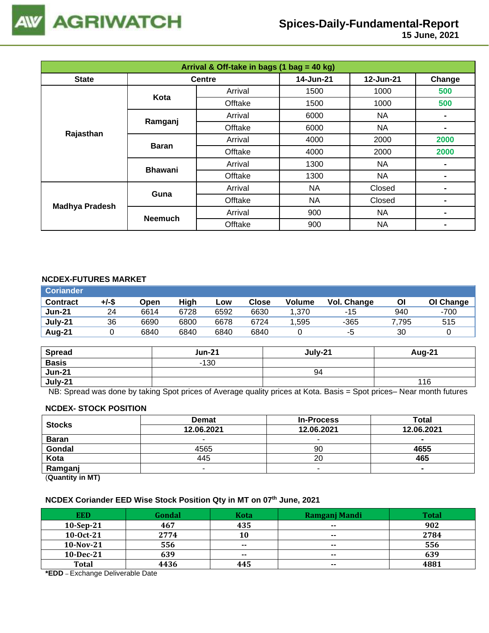

 **15 June, 2021**

| Arrival & Off-take in bags (1 bag = 40 kg) |                |               |           |           |                |  |
|--------------------------------------------|----------------|---------------|-----------|-----------|----------------|--|
| <b>State</b>                               |                | <b>Centre</b> | 14-Jun-21 | 12-Jun-21 | Change         |  |
|                                            | Kota           | Arrival       | 1500      | 1000      | 500            |  |
|                                            |                | Offtake       | 1500      | 1000      | 500            |  |
|                                            | Ramganj        | Arrival       | 6000      | NA        |                |  |
| Rajasthan                                  |                | Offtake       | 6000      | NA        | $\blacksquare$ |  |
|                                            | <b>Baran</b>   | Arrival       | 4000      | 2000      | 2000           |  |
|                                            |                | Offtake       | 4000      | 2000      | 2000           |  |
|                                            | <b>Bhawani</b> | Arrival       | 1300      | NA        |                |  |
|                                            |                | Offtake       | 1300      | <b>NA</b> | $\blacksquare$ |  |
| <b>Madhya Pradesh</b>                      | Guna           | Arrival       | NA        | Closed    |                |  |
|                                            |                | Offtake       | NA        | Closed    |                |  |
|                                            |                | Arrival       | 900       | <b>NA</b> | $\blacksquare$ |  |
|                                            | <b>Neemuch</b> | Offtake       | 900       | <b>NA</b> |                |  |

### **NCDEX-FUTURES MARKET**

| <b>Coriander</b> |       |      |      |      |       |        |             |       |           |
|------------------|-------|------|------|------|-------|--------|-------------|-------|-----------|
| <b>Contract</b>  | +/-\$ | Open | High | Low  | Close | Volume | Vol. Change | ΟI    | OI Change |
| <b>Jun-21</b>    | 24    | 6614 | 6728 | 6592 | 6630  | 1.370  | -15         | 940   | -700      |
| July-21          | 36    | 6690 | 6800 | 6678 | 6724  | 1,595  | -365        | 7,795 | 515       |
| Aug-21           |       | 6840 | 6840 | 6840 | 6840  |        | -ຕ          | 30    |           |

| <b>Spread</b> | <b>Jun-21</b> | July-21 | Aug-21 |
|---------------|---------------|---------|--------|
| <b>Basis</b>  | $-130$        |         |        |
| <b>Jun-21</b> |               | 94      |        |
| July-21       |               |         | 116    |

NB: Spread was done by taking Spot prices of Average quality prices at Kota. Basis = Spot prices– Near month futures

#### **NCDEX- STOCK POSITION**

| <b>Stocks</b>                                                   | <b>Demat</b> | <b>In-Process</b> | Total          |
|-----------------------------------------------------------------|--------------|-------------------|----------------|
|                                                                 | 12.06.2021   | 12.06.2021        | 12.06.2021     |
| <b>Baran</b>                                                    |              | -                 | -              |
| Gondal                                                          | 4565         | 90                | 4655           |
| Kota                                                            | 445          | 20                | 465            |
| Ramganj                                                         | -            | -                 | $\blacksquare$ |
| $\mathbf{r}$ and $\mathbf{r}$ and $\mathbf{r}$ and $\mathbf{r}$ |              |                   |                |

(**Quantity in MT)**

### **NCDEX Coriander EED Wise Stock Position Qty in MT on 07th June, 2021**

| <b>EED</b>   | Gondal | <b>Kota</b>   | Ramganj Mandi | <b>Total</b> |
|--------------|--------|---------------|---------------|--------------|
| $10-Sep-21$  | 467    | 435           | $\sim$        | 902          |
| 10-0ct-21    | 2774   | 10            | $- -$         | 2784         |
| $10-Nov-21$  | 556    | $\sim$ $\sim$ | $- -$         | 556          |
| 10-Dec-21    | 639    | $- -$         | $- -$         | 639          |
| <b>Total</b> | 4436   | 445           | $- -$         | 4881         |